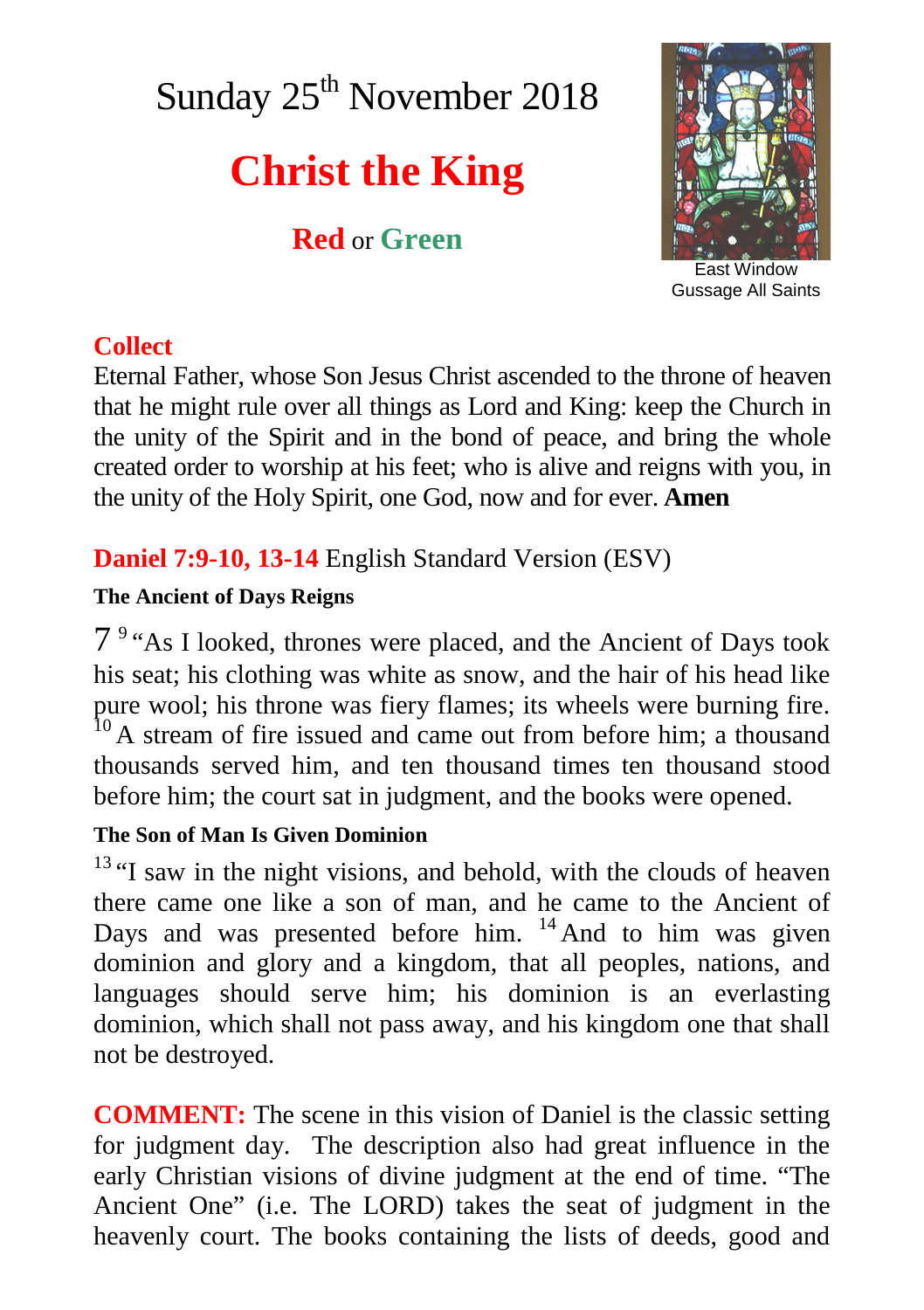# Sunday 25<sup>th</sup> November 2018

# **Christ the King**

**Red** or **Green**



East Window Gussage All Saints

## **Collect**

Eternal Father, whose Son Jesus Christ ascended to the throne of heaven that he might rule over all things as Lord and King: keep the Church in the unity of the Spirit and in the bond of peace, and bring the whole created order to worship at his feet; who is alive and reigns with you, in the unity of the Holy Spirit, one God, now and for ever. **Amen**

# **Daniel 7:9-10, 13-14** English Standard Version (ESV)

#### **The Ancient of Days Reigns**

7<sup>9</sup> "As I looked, thrones were placed, and the Ancient of Days took his seat; his clothing was white as snow, and the hair of his head like pure wool; his throne was fiery flames; its wheels were burning fire.  $10$  A stream of fire issued and came out from before him; a thousand thousands served him, and ten thousand times ten thousand stood before him; the court sat in judgment, and the books were opened.

#### **The Son of Man Is Given Dominion**

 $13$  "I saw in the night visions, and behold, with the clouds of heaven there came one like a son of man, and he came to the Ancient of Days and was presented before him.  $14$  And to him was given dominion and glory and a kingdom, that all peoples, nations, and languages should serve him; his dominion is an everlasting dominion, which shall not pass away, and his kingdom one that shall not be destroyed.

**COMMENT:** The scene in this vision of Daniel is the classic setting for judgment day. The description also had great influence in the early Christian visions of divine judgment at the end of time. "The Ancient One" (i.e. The LORD) takes the seat of judgment in the heavenly court. The books containing the lists of deeds, good and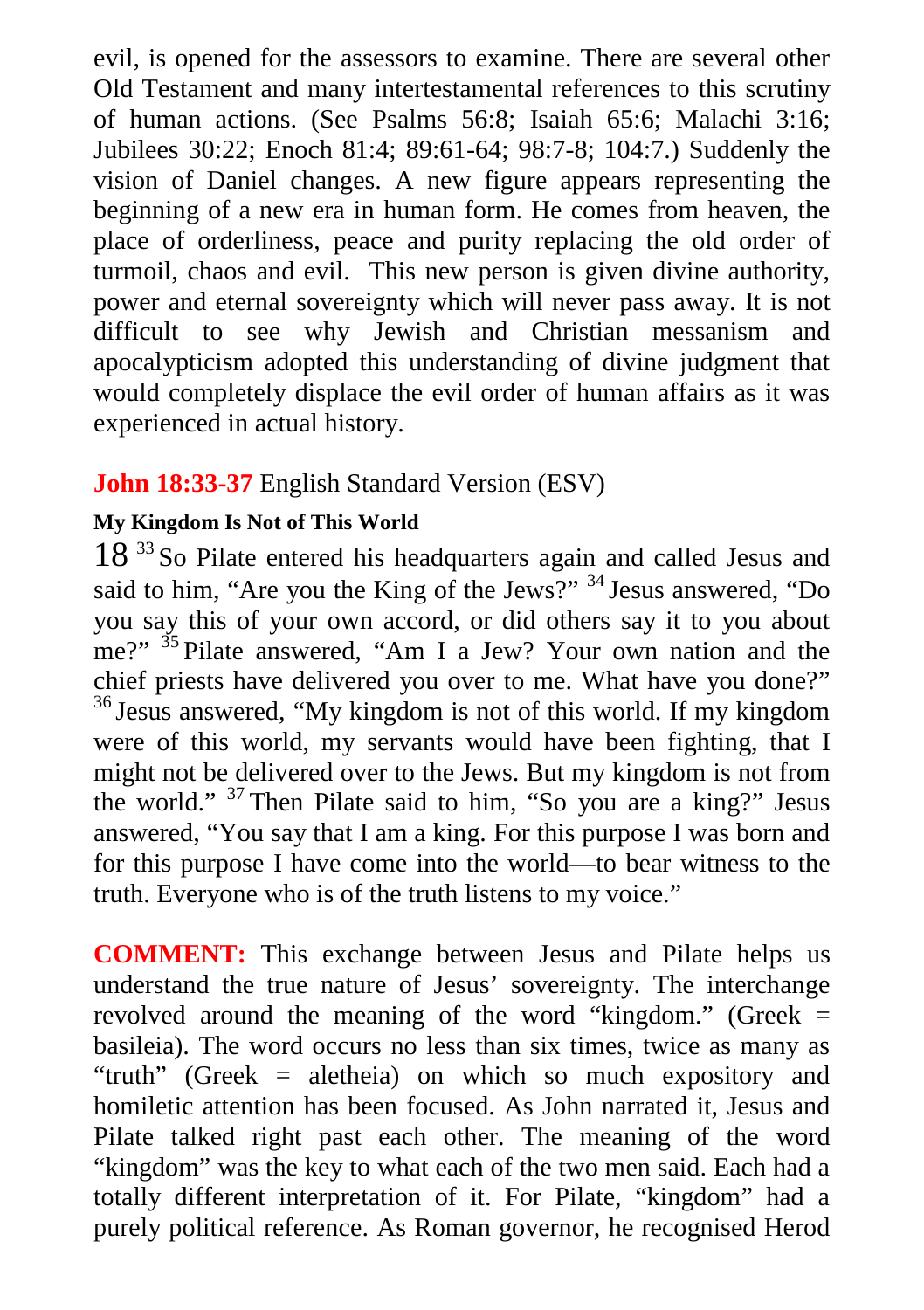evil, is opened for the assessors to examine. There are several other Old Testament and many intertestamental references to this scrutiny of human actions. (See Psalms 56:8; Isaiah 65:6; Malachi 3:16; Jubilees 30:22; Enoch 81:4; 89:61-64; 98:7-8; 104:7.) Suddenly the vision of Daniel changes. A new figure appears representing the beginning of a new era in human form. He comes from heaven, the place of orderliness, peace and purity replacing the old order of turmoil, chaos and evil. This new person is given divine authority, power and eternal sovereignty which will never pass away. It is not difficult to see why Jewish and Christian messanism and apocalypticism adopted this understanding of divine judgment that would completely displace the evil order of human affairs as it was experienced in actual history.

## **John 18:33-37** English Standard Version (ESV)

#### **My Kingdom Is Not of This World**

18<sup>33</sup> So Pilate entered his headquarters again and called Jesus and said to him, "Are you the King of the Jews?" <sup>34</sup> Jesus answered, "Do you say this of your own accord, or did others say it to you about me?" <sup>35</sup> Pilate answered, "Am I a Jew? Your own nation and the chief priests have delivered you over to me. What have you done?" <sup>36</sup> Jesus answered, "My kingdom is not of this world. If my kingdom were of this world, my servants would have been fighting, that I might not be delivered over to the Jews. But my kingdom is not from the world." <sup>37</sup> Then Pilate said to him, "So you are a king?" Jesus answered, "You say that I am a king. For this purpose I was born and for this purpose I have come into the world—to bear witness to the truth. Everyone who is of the truth listens to my voice."

**COMMENT:** This exchange between Jesus and Pilate helps us understand the true nature of Jesus' sovereignty. The interchange revolved around the meaning of the word "kingdom." (Greek = basileia). The word occurs no less than six times, twice as many as "truth" (Greek = aletheia) on which so much expository and homiletic attention has been focused. As John narrated it, Jesus and Pilate talked right past each other. The meaning of the word "kingdom" was the key to what each of the two men said. Each had a totally different interpretation of it. For Pilate, "kingdom" had a purely political reference. As Roman governor, he recognised Herod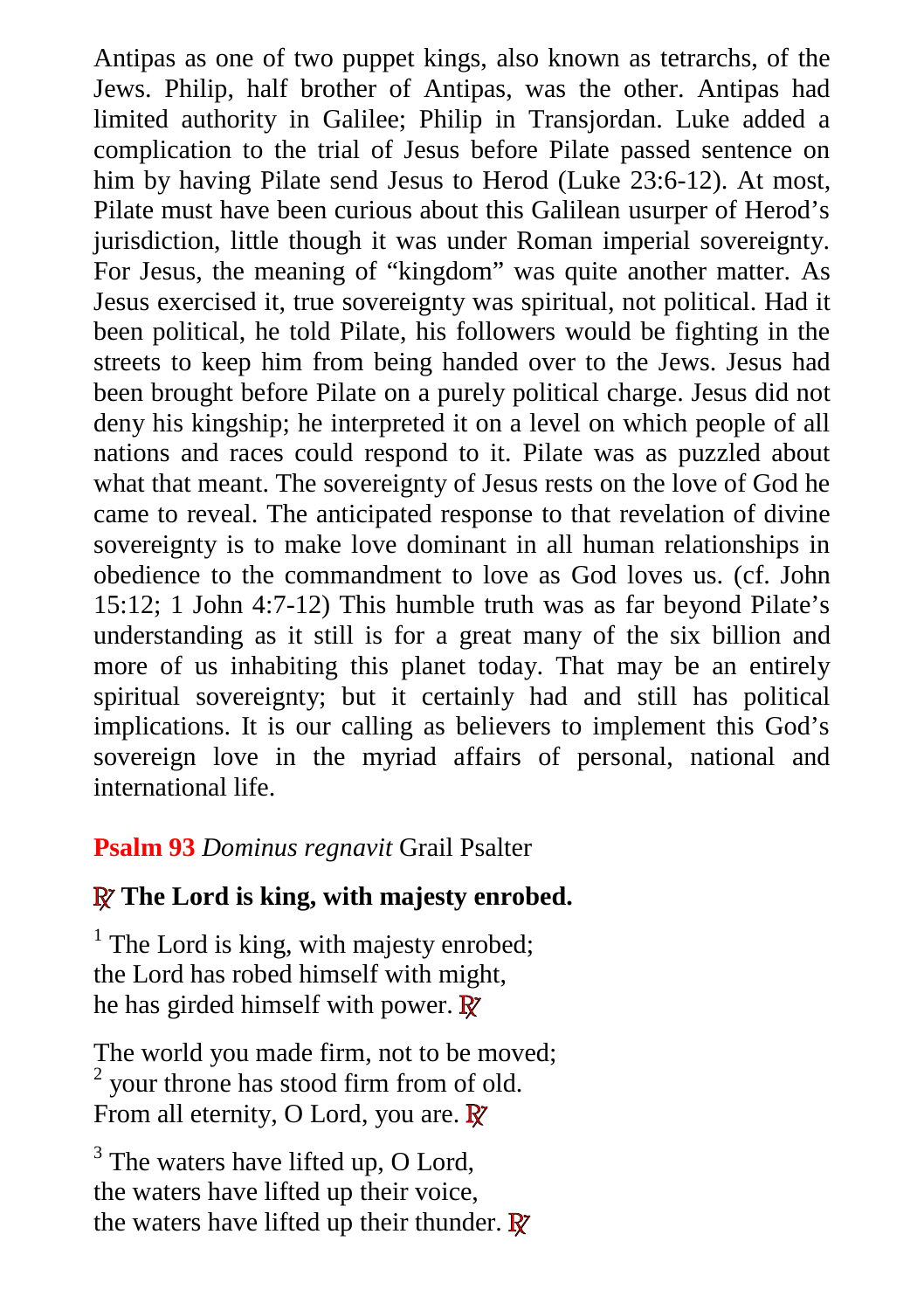Antipas as one of two puppet kings, also known as tetrarchs, of the Jews. Philip, half brother of Antipas, was the other. Antipas had limited authority in Galilee; Philip in Transjordan. Luke added a complication to the trial of Jesus before Pilate passed sentence on him by having Pilate send Jesus to Herod (Luke 23:6-12). At most, Pilate must have been curious about this Galilean usurper of Herod's jurisdiction, little though it was under Roman imperial sovereignty. For Jesus, the meaning of "kingdom" was quite another matter. As Jesus exercised it, true sovereignty was spiritual, not political. Had it been political, he told Pilate, his followers would be fighting in the streets to keep him from being handed over to the Jews. Jesus had been brought before Pilate on a purely political charge. Jesus did not deny his kingship; he interpreted it on a level on which people of all nations and races could respond to it. Pilate was as puzzled about what that meant. The sovereignty of Jesus rests on the love of God he came to reveal. The anticipated response to that revelation of divine sovereignty is to make love dominant in all human relationships in obedience to the commandment to love as God loves us. (cf. John 15:12; 1 John 4:7-12) This humble truth was as far beyond Pilate's understanding as it still is for a great many of the six billion and more of us inhabiting this planet today. That may be an entirely spiritual sovereignty; but it certainly had and still has political implications. It is our calling as believers to implement this God's sovereign love in the myriad affairs of personal, national and international life.

## **Psalm 93** *Dominus regnavit* Grail Psalter

## **R The Lord is king, with majesty enrobed.**

<sup>1</sup> The Lord is king, with majesty enrobed; the Lord has robed himself with might, he has girded himself with power. **R**

The world you made firm, not to be moved;  $2$  your throne has stood firm from of old. From all eternity, O Lord, you are. **R**

 $3$  The waters have lifted up, O Lord, the waters have lifted up their voice, the waters have lifted up their thunder. **R**